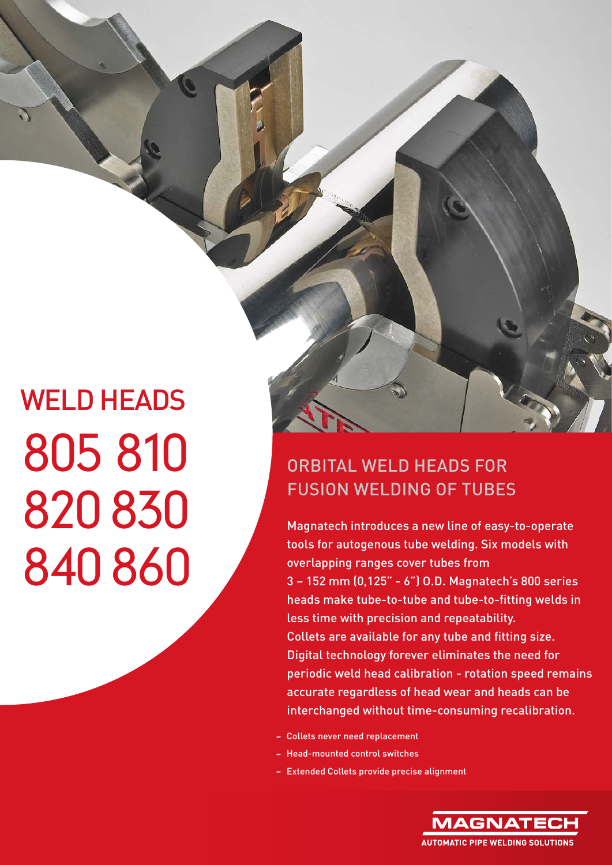## ORBITAL WELD HEADS FOR FUSION WELDING OF TUBES

Magnatech introduces a new line of easy-to-operate tools for autogenous tube welding. Six models with overlapping ranges cover tubes from 3 – 152 mm (0,125" - 6") O.D. Magnatech's 800 series heads make tube-to-tube and tube-to-fitting welds in less time with precision and repeatability. Collets are available for any tube and fitting size. Digital technology forever eliminates the need for periodic weld head calibration - rotation speed remains accurate regardless of head wear and heads can be interchanged without time-consuming recalibration.

- Collets never need replacement
- Head-mounted control switches
- Extended Collets provide precise alignment

MAGNAT **AUTOMATIC PIPF WELDING SOLUTIONS**